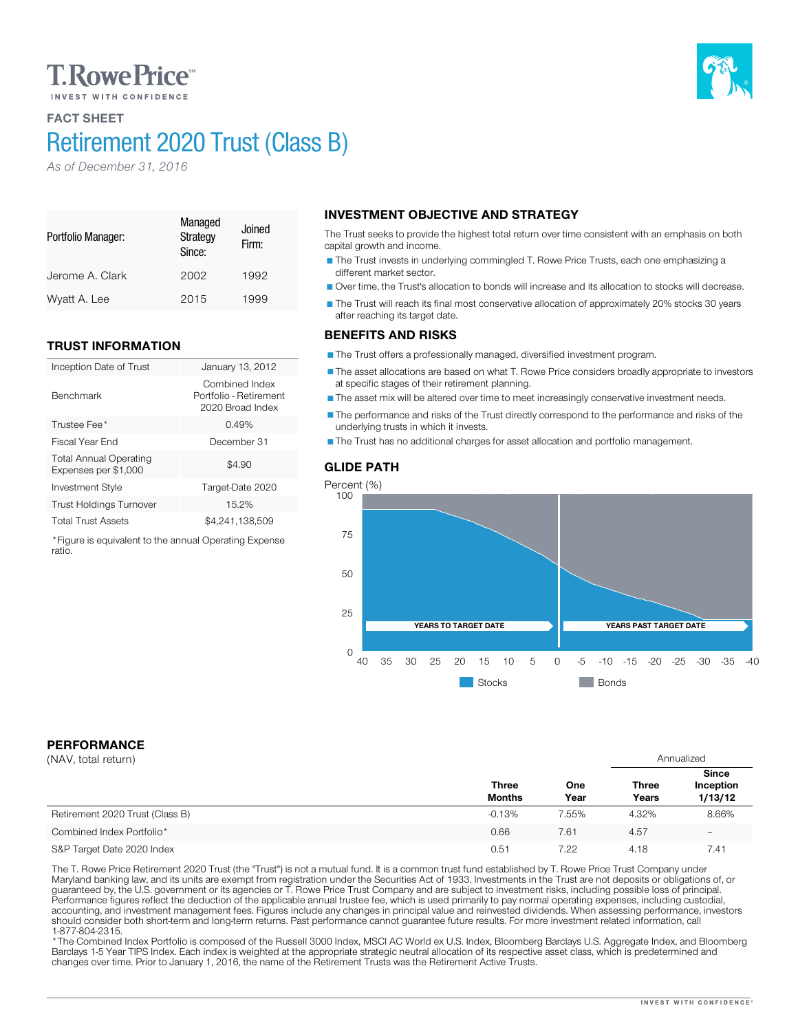# **T. Rowe Price**

# FACT SHEET

Portfolio Manager:

Benchmark

ratio.

# Retirement 2020 Trust (Class B)

Managed **Strategy** Since:

Jerome A. Clark 2002 1992 Wyatt A. Lee 2015 1999

Inception Date of Trust January 13, 2012

Investment Style Target-Date 2020 Trust Holdings Turnover 15.2% Total Trust Assets \$4,241,138,509 \*Figure is equivalent to the annual Operating Expense

Trustee Fee<sup>\*</sup> 2.49% 3.49% 3.49% 3.5 and 3.49% 3.5 and 3.49% 3.5 and 3.49% 3.5 and 3.49% 3.5 and 3.49% 3.5 and 3.49% 3.5 and 3.49% 3.49% 3.49% 3.49% 3.49% 3.49% 3.49% 3.49% 3.49% 3.49% 3.49% 3.49% 3.49% 3.49% 3.49% 3.49% 3 Fiscal Year End December 31

Joined Firm:

Combined Index Portfolio - Retirement 2020 Broad Index

 $$4.90$ 

*As of December 31, 2016*

TRUST INFORMATION

Total Annual Operating Expenses per \$1,000

# INVESTMENT OBJECTIVE AND STRATEGY

The Trust seeks to provide the highest total return over time consistent with an emphasis on both capital growth and income.

The Trust invests in underlying commingled T. Rowe Price Trusts, each one emphasizing a different market sector.

Over time, the Trust's allocation to bonds will increase and its allocation to stocks will decrease.

The Trust will reach its final most conservative allocation of approximately 20% stocks 30 years after reaching its target date.

### BENEFITS AND RISKS

The Trust offers a professionally managed, diversified investment program.

The asset allocations are based on what T. Rowe Price considers broadly appropriate to investors at specific stages of their retirement planning.

The asset mix will be altered over time to meet increasingly conservative investment needs.

The performance and risks of the Trust directly correspond to the performance and risks of the underlying trusts in which it invests.

The Trust has no additional charges for asset allocation and portfolio management.

### GLIDE PATH



**Stocks** Bonds

PERFORMANCE

| (NAV, total return)             |                               |             |                       | Annualized                           |  |
|---------------------------------|-------------------------------|-------------|-----------------------|--------------------------------------|--|
|                                 | <b>Three</b><br><b>Months</b> | One<br>Year | <b>Three</b><br>Years | <b>Since</b><br>Inception<br>1/13/12 |  |
| Retirement 2020 Trust (Class B) | $-0.13%$                      | 7.55%       | 4.32%                 | 8.66%                                |  |
| Combined Index Portfolio*       | 0.66                          | 7.61        | 4.57                  | $\overline{\phantom{0}}$             |  |
| S&P Target Date 2020 Index      | 0.51                          | 7.22        | 4.18                  | 7.41                                 |  |

The T. Rowe Price Retirement 2020 Trust (the "Trust") is not a mutual fund. It is a common trust fund established by T. Rowe Price Trust Company under<br>Maryland banking law, and its units are exempt from registration under should consider both short-term and long-term returns. Past performance cannot guarantee future results. For more investment related information, call<br>1-877-804-2315.

\* The Combined Index Portfolio is composed of the Russell 3000 Index, MSCI AC World ex U.S. Index, Bloomberg Barclays U.S. Aggregate Index, and Bloomberg Barclays 1-5 Year TIPS Index. Each index is weighted at the appropriate strategic neutral allocation of its respective asset class, which is predetermined and changes over time. Prior to January 1, 2016, the name of the Retirement Trusts was the Retirement Active Trusts.

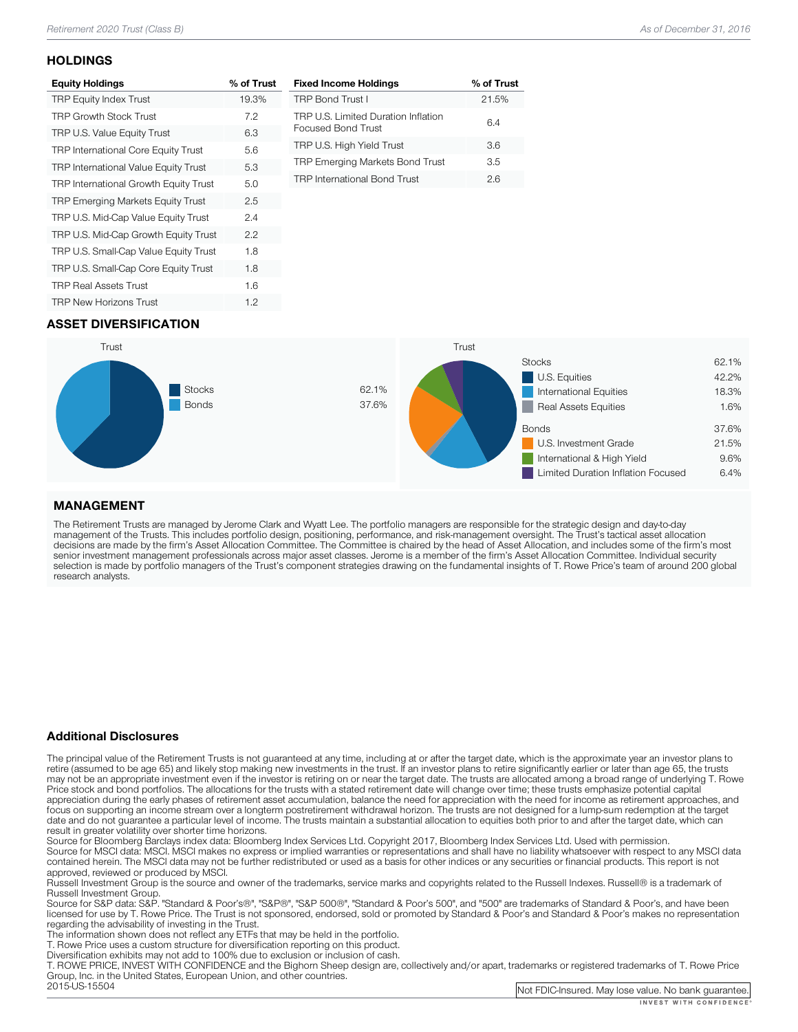#### **HOLDINGS**

| <b>Equity Holdings</b>                     | % of Trust |
|--------------------------------------------|------------|
| <b>TRP Equity Index Trust</b>              | 19.3%      |
| <b>TRP Growth Stock Trust</b>              | 7.2        |
| TRP U.S. Value Equity Trust                | 6.3        |
| <b>TRP International Core Equity Trust</b> | 5.6        |
| TRP International Value Equity Trust       | 5.3        |
| TRP International Growth Equity Trust      | 5.0        |
| <b>TRP Emerging Markets Equity Trust</b>   | 2.5        |
| TRP U.S. Mid-Cap Value Equity Trust        | 2.4        |
| TRP U.S. Mid-Cap Growth Equity Trust       | 2.2        |
| TRP U.S. Small-Cap Value Equity Trust      | 1.8        |
| TRP U.S. Small-Cap Core Equity Trust       | 1.8        |
| <b>TRP Real Assets Trust</b>               | 1.6        |
| <b>TRP New Horizons Trust</b>              | 1.2        |

| <b>Fixed Income Holdings</b>                              | % of Trust |
|-----------------------------------------------------------|------------|
| <b>TRP Bond Trust I</b>                                   | 21.5%      |
| TRP U.S. Limited Duration Inflation<br>Focused Bond Trust | 6.4        |
| TRP U.S. High Yield Trust                                 | 36         |
| <b>TRP Emerging Markets Bond Trust</b>                    | 3.5        |
| <b>TRP</b> International Bond Trust                       | 26         |

## ASSET DIVERSIFICATION



### MANAGEMENT

The Retirement Trusts are managed by Jerome Clark and Wyatt Lee. The portfolio managers are responsible for the strategic design and day-to-day<br>management of the Trusts. This includes portfolio design, positioning, perform research analysts.

#### Additional Disclosures

The principal value of the Retirement Trusts is not guaranteed at any time, including at or after the target date, which is the approximate year an investor plans to retire (assumed to be age 65) and likely stop making new may not be an appropriate investment even if the investor is retiring on or near the target date. The trusts are allocated among a broad range of underlying T. Rowe<br>Price stock and bond portfolios. The allocations for the focus on supporting an income stream over a longterm postretirement withdrawal horizon. The trusts are not designed for a lump-sum redemption at the target date and do not guarantee a particular level of income. The trusts maintain a substantial allocation to equities both prior to and after the target date, which can result in greater volatility over shorter time horizons.

Source for Bloomberg Barclays index data: Bloomberg Index Services Ltd. Copyright 2017, Bloomberg Index Services Ltd. Used with permission.<br>Source for MSCI data: MSCI. MSCI makes no express or implied warranties or represe

approved, reviewed or produced by MSCI.<br>Russell Investment Group is the source and owner of the trademarks, service marks and copyrights related to the Russell Indexes. Russell® is a trademark of<br>Russell Investment Group.

Russell Investment Group. Source Group and Group", "Same Source for Source for Source for Standard & Boorge and Supers, and have been licensed for use by T. Rowe Price. The Trust is not sponsored, endorsed, sold or promoted by Standard & Poor's and Standard & Poor's makes no representation<br>regarding the advisability of investing in the Trust.

The information shown does not reflect any ETFs that may be held in the portfolio.<br>T. Rowe Price uses a custom structure for diversification reporting on this product.<br>Diversification exhibits may not add to 100% due to ex